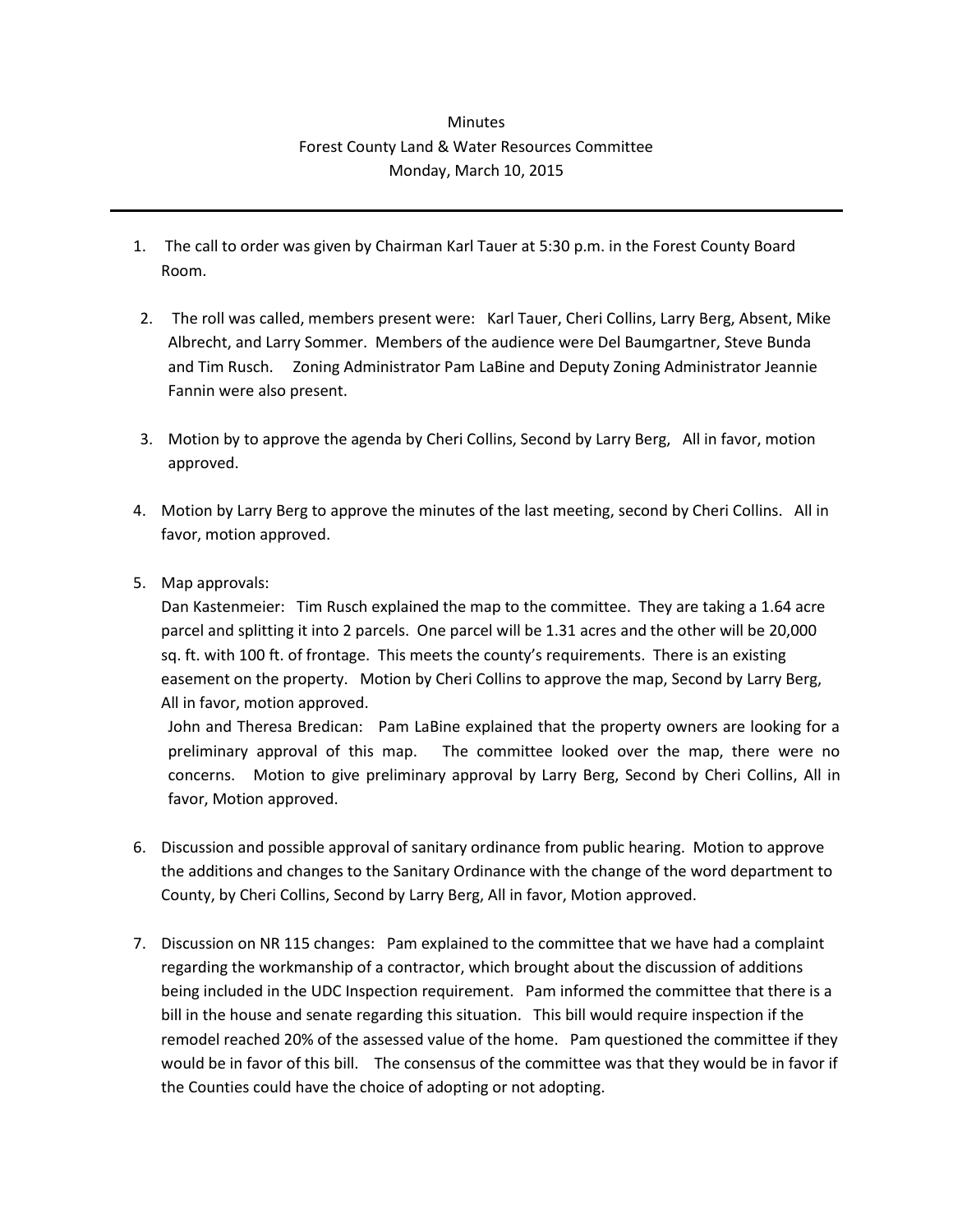## **Minutes** Forest County Land & Water Resources Committee Monday, March 10, 2015

- 1. The call to order was given by Chairman Karl Tauer at 5:30 p.m. in the Forest County Board Room.
- 2. The roll was called, members present were: Karl Tauer, Cheri Collins, Larry Berg, Absent, Mike Albrecht, and Larry Sommer. Members of the audience were Del Baumgartner, Steve Bunda and Tim Rusch. Zoning Administrator Pam LaBine and Deputy Zoning Administrator Jeannie Fannin were also present.
- 3. Motion by to approve the agenda by Cheri Collins, Second by Larry Berg, All in favor, motion approved.
- 4. Motion by Larry Berg to approve the minutes of the last meeting, second by Cheri Collins. All in favor, motion approved.
- 5. Map approvals:

Dan Kastenmeier: Tim Rusch explained the map to the committee. They are taking a 1.64 acre parcel and splitting it into 2 parcels. One parcel will be 1.31 acres and the other will be 20,000 sq. ft. with 100 ft. of frontage. This meets the county's requirements. There is an existing easement on the property. Motion by Cheri Collins to approve the map, Second by Larry Berg, All in favor, motion approved.

John and Theresa Bredican: Pam LaBine explained that the property owners are looking for a preliminary approval of this map. The committee looked over the map, there were no concerns. Motion to give preliminary approval by Larry Berg, Second by Cheri Collins, All in favor, Motion approved.

- 6. Discussion and possible approval of sanitary ordinance from public hearing. Motion to approve the additions and changes to the Sanitary Ordinance with the change of the word department to County, by Cheri Collins, Second by Larry Berg, All in favor, Motion approved.
- 7. Discussion on NR 115 changes: Pam explained to the committee that we have had a complaint regarding the workmanship of a contractor, which brought about the discussion of additions being included in the UDC Inspection requirement. Pam informed the committee that there is a bill in the house and senate regarding this situation. This bill would require inspection if the remodel reached 20% of the assessed value of the home. Pam questioned the committee if they would be in favor of this bill. The consensus of the committee was that they would be in favor if the Counties could have the choice of adopting or not adopting.